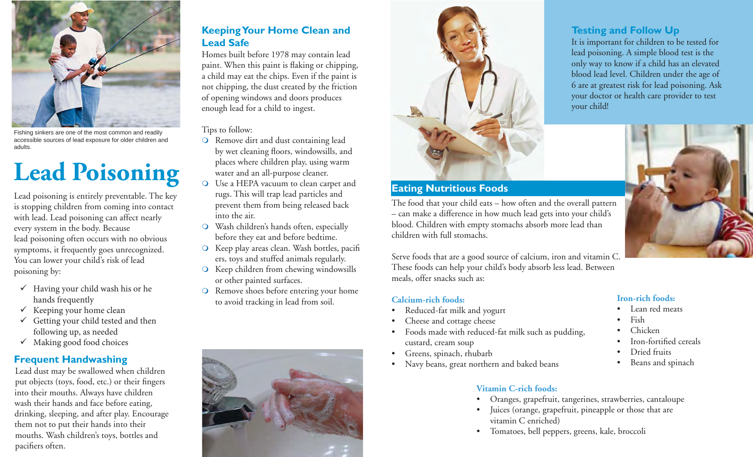

Fishing sinkers are one of the most common and readily accessible sources of lead exposure for older children and adults.

# **Lead Poisoning**

Lead poisoning is entirely preventable. The key is stopping children from coming into contact with lead. Lead poisoning can affect nearly every system in the body. Because lead poisoning often occurs with no obvious symptoms, it frequently goes unrecognized. You can lower your child's risk of lead poisoning by:

- $\checkmark$  Having your child wash his or he hands frequently
- $\checkmark$  Keeping your home clean
- $\checkmark$  Getting your child tested and then following up, as needed
- $\checkmark$  Making good food choices

# **Frequent Handwashing**

Lead dust may be swallowed when children put objects (toys, food, etc.) or their fingers into their mouths. Always have children wash their hands and face before eating, drinking, sleeping, and after play. Encourage them not to put their hands into their mouths. Wash children's toys, bottles and pacifiers often.

## **Keeping Your Home Clean and Lead Safe**

Homes built before 1978 may contain lead paint. When this paint is flaking or chipping, a child may eat the chips. Even if the paint is not chipping, the dust created by the friction of opening windows and doors produces enough lead for a child to ingest.

#### Tips to follow:

- Remove dirt and dust containing lead by wet cleaning floors, windowsills, and places where children play, using warm water and an all-purpose cleaner.
- Use a HEPA vacuum to clean carpet and rugs. This will trap lead particles and prevent them from being released back into the air.
- Wash children's hands often, especially before they eat and before bedtime.
- Keep play areas clean. Wash bottles, pacifi ers, toys and stuffed animals regularly.
- Keep children from chewing windowsills or other painted surfaces.
- O Remove shoes before entering your home to avoid tracking in lead from soil.





### **Eating Nutritious Foods**

The food that your child eats – how often and the overall pattern – can make a difference in how much lead gets into your child's blood. Children with empty stomachs absorb more lead than children with full stomachs.

Serve foods that are a good source of calcium, iron and vitamin C. These foods can help your child's body absorb less lead. Between meals, offer snacks such as:

#### **Calcium-rich foods:**

- Reduced-fat milk and yogurt
- Cheese and cottage cheese
- Foods made with reduced-fat milk such as pudding, custard, cream soup
- Greens, spinach, rhubarb
- Navy beans, great northern and baked beans

#### **Vitamin C-rich foods:**

- Oranges, grapefruit, tangerines, strawberries, cantaloupe
- Juices (orange, grapefruit, pineapple or those that are vitamin C enriched)
- Tomatoes, bell peppers, greens, kale, broccoli

### **Testing and Follow Up**

It is important for children to be tested for lead poisoning. A simple blood test is the only way to know if a child has an elevated blood lead level. Children under the age of 6 are at greatest risk for lead poisoning. Ask your doctor or health care provider to test your child!



#### **Iron-rich foods:**

- Lean red meats
- Fish
- Chicken
- Iron-fortified cereals
- Dried fruits
- Beans and spinach